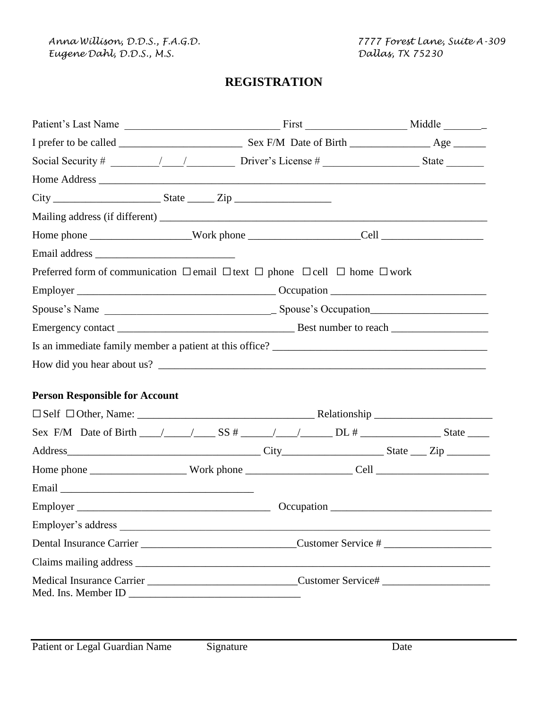*Anna Willison, D.D.S., F.A.G.D. 7777 Forest Lane, Suite A-309 Eugene Dahl, D.D.S., M.S. Dallas, TX 75230*

# **REGISTRATION**

| Preferred form of communication $\Box$ email $\Box$ text $\Box$ phone $\Box$ cell $\Box$ home $\Box$ work                                                                                                                              |  |
|----------------------------------------------------------------------------------------------------------------------------------------------------------------------------------------------------------------------------------------|--|
|                                                                                                                                                                                                                                        |  |
|                                                                                                                                                                                                                                        |  |
|                                                                                                                                                                                                                                        |  |
|                                                                                                                                                                                                                                        |  |
|                                                                                                                                                                                                                                        |  |
|                                                                                                                                                                                                                                        |  |
| <b>Person Responsible for Account</b>                                                                                                                                                                                                  |  |
|                                                                                                                                                                                                                                        |  |
| Sex F/M Date of Birth $\_\_\_\_\_\_\_\_\_\$ SS # \Rightarrow DL # \Rightarrow State \Rightarrow State \Rightarrow State \Rightarrow State \Rightarrow State \Rightarrow State \Rightarrow State \Rightarrow State \Rightarrow State \R |  |
|                                                                                                                                                                                                                                        |  |
|                                                                                                                                                                                                                                        |  |
|                                                                                                                                                                                                                                        |  |
|                                                                                                                                                                                                                                        |  |
|                                                                                                                                                                                                                                        |  |
|                                                                                                                                                                                                                                        |  |
|                                                                                                                                                                                                                                        |  |
| Medical Insurance Carrier _______________________________Customer Service# _________________________                                                                                                                                   |  |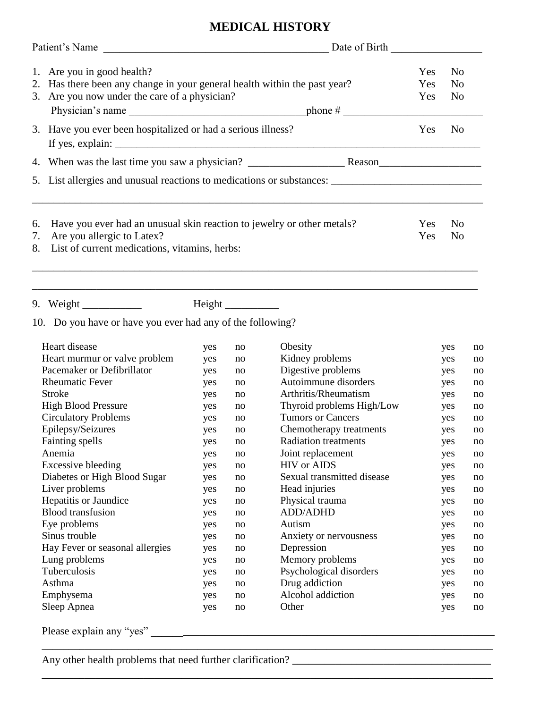# **MEDICAL HISTORY**

|                | Patient's Name<br><u> 1989 - Johann John Harry Harry Harry Harry Harry Harry Harry Harry Harry Harry Harry Harry Harry Harry Harry H</u>                 | Date of Birth            |                                                    |  |  |  |
|----------------|----------------------------------------------------------------------------------------------------------------------------------------------------------|--------------------------|----------------------------------------------------|--|--|--|
|                | 1. Are you in good health?<br>2. Has there been any change in your general health within the past year?<br>3. Are you now under the care of a physician? | Yes<br><b>Yes</b><br>Yes | N <sub>0</sub><br>N <sub>0</sub><br>N <sub>o</sub> |  |  |  |
|                | 3. Have you ever been hospitalized or had a serious illness?                                                                                             | Yes                      | N <sub>0</sub>                                     |  |  |  |
|                |                                                                                                                                                          |                          |                                                    |  |  |  |
|                |                                                                                                                                                          |                          |                                                    |  |  |  |
| 6.<br>7.<br>8. | Have you ever had an unusual skin reaction to jewelry or other metals?<br>Are you allergic to Latex?<br>List of current medications, vitamins, herbs:    | <b>Yes</b><br>Yes        | N <sub>0</sub><br>N <sub>0</sub>                   |  |  |  |
|                | ,我们也不能会在这里,我们也不能会在这里,我们也不能会在这里,我们也不能会在这里,我们也不能会在这里,我们也不能会在这里,我们也不能会不能会不能会。""我们,我们<br>$10$ De veu heve et heve you ever hed eny of the following?         |                          |                                                    |  |  |  |

10. Do you have or have you ever had any of the following?

| Heart disease                   | yes | no | Obesity                     | yes | no |
|---------------------------------|-----|----|-----------------------------|-----|----|
| Heart murmur or valve problem   | yes | no | Kidney problems             | yes | no |
| Pacemaker or Defibrillator      | yes | no | Digestive problems          | yes | no |
| <b>Rheumatic Fever</b>          | yes | no | Autoimmune disorders        | yes | no |
| <b>Stroke</b>                   | yes | no | Arthritis/Rheumatism        | yes | no |
| <b>High Blood Pressure</b>      | yes | no | Thyroid problems High/Low   | yes | no |
| <b>Circulatory Problems</b>     | yes | no | <b>Tumors or Cancers</b>    | yes | no |
| Epilepsy/Seizures               | yes | no | Chemotherapy treatments     | yes | no |
| Fainting spells                 | yes | no | <b>Radiation treatments</b> | yes | no |
| Anemia                          | yes | no | Joint replacement           | yes | no |
| Excessive bleeding              | yes | no | <b>HIV</b> or AIDS          | yes | no |
| Diabetes or High Blood Sugar    | yes | no | Sexual transmitted disease  | yes | no |
| Liver problems                  | yes | no | Head injuries               | yes | no |
| Hepatitis or Jaundice           | yes | no | Physical trauma             | yes | no |
| <b>Blood</b> transfusion        | yes | no | <b>ADD/ADHD</b>             | yes | no |
| Eye problems                    | yes | no | Autism                      | yes | no |
| Sinus trouble                   | yes | no | Anxiety or nervousness      | yes | no |
| Hay Fever or seasonal allergies | yes | no | Depression                  | yes | no |
| Lung problems                   | yes | no | Memory problems             | yes | no |
| Tuberculosis                    | yes | no | Psychological disorders     | yes | no |
| Asthma                          | yes | no | Drug addiction              | yes | no |
| Emphysema                       | yes | no | Alcohol addiction           | yes | no |
| Sleep Apnea                     | yes | no | Other                       | yes | no |
| Please explain any "yes"        |     |    |                             |     |    |

\_\_\_\_\_\_\_\_\_\_\_\_\_\_\_\_\_\_\_\_\_\_\_\_\_\_\_\_\_\_\_\_\_\_\_\_\_\_\_\_\_\_\_\_\_\_\_\_\_\_\_\_\_\_\_\_\_\_\_\_\_\_\_\_\_\_\_\_\_\_\_\_\_\_\_\_\_\_\_\_\_\_\_\_

\_\_\_\_\_\_\_\_\_\_\_\_\_\_\_\_\_\_\_\_\_\_\_\_\_\_\_\_\_\_\_\_\_\_\_\_\_\_\_\_\_\_\_\_\_\_\_\_\_\_\_\_\_\_\_\_\_\_\_\_\_\_\_\_\_\_\_\_\_\_\_\_\_\_\_\_\_\_\_\_\_\_\_\_

Any other health problems that need further clarification? \_\_\_\_\_\_\_\_\_\_\_\_\_\_\_\_\_\_\_\_\_\_\_\_\_\_\_\_\_\_\_\_\_\_\_\_\_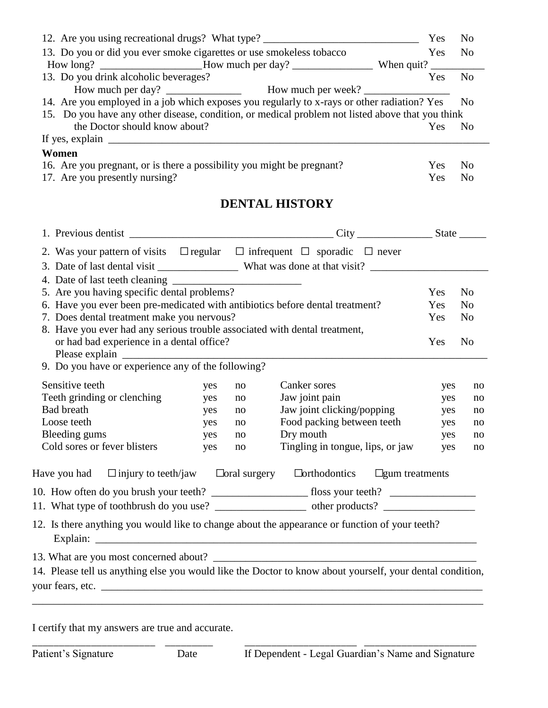|                                                                                  | 12. Are you using recreational drugs? What type?                                                 | Yes        | N <sub>0</sub> |
|----------------------------------------------------------------------------------|--------------------------------------------------------------------------------------------------|------------|----------------|
|                                                                                  | 13. Do you or did you ever smoke cigarettes or use smokeless tobacco                             | Yes        | N <sub>0</sub> |
|                                                                                  |                                                                                                  |            |                |
| 13. Do you drink alcoholic beverages?                                            |                                                                                                  | <b>Yes</b> | No             |
|                                                                                  |                                                                                                  |            |                |
|                                                                                  | 14. Are you employed in a job which exposes you regularly to x-rays or other radiation? Yes No   |            |                |
|                                                                                  | 15. Do you have any other disease, condition, or medical problem not listed above that you think |            |                |
| the Doctor should know about?                                                    |                                                                                                  | Yes        | N <sub>0</sub> |
| If yes, explain $\_\_\_\_\_\_\_\_\_\_\_\_\_\_\_\_\_\_\_\_\_\_\_\_\_\_\_\_\_\_\_$ |                                                                                                  |            |                |
| Women                                                                            |                                                                                                  |            |                |
|                                                                                  | 16. Are you pregnant, or is there a possibility you might be pregnant?                           | Yes        | -No            |

| To. The you pregnant, or is there a possibility you imgite be pregnant. |        | . <i>. .</i> |
|-------------------------------------------------------------------------|--------|--------------|
| 17. Are you presently nursing?                                          | Yes No |              |

# **DENTAL HISTORY**

| 2. Was your pattern of visits $\Box$ regular $\Box$ infrequent $\Box$ sporadic $\Box$ never                             |     |    |                                  |                       |     |                |
|-------------------------------------------------------------------------------------------------------------------------|-----|----|----------------------------------|-----------------------|-----|----------------|
|                                                                                                                         |     |    |                                  |                       |     |                |
|                                                                                                                         |     |    |                                  |                       |     |                |
| 5. Are you having specific dental problems?                                                                             |     |    |                                  |                       | Yes | N <sub>o</sub> |
| 6. Have you ever been pre-medicated with antibiotics before dental treatment?                                           |     |    |                                  |                       | Yes | N <sub>0</sub> |
| 7. Does dental treatment make you nervous?                                                                              |     |    |                                  |                       | Yes | N <sub>0</sub> |
| 8. Have you ever had any serious trouble associated with dental treatment,<br>or had bad experience in a dental office? |     |    |                                  |                       | Yes | N <sub>o</sub> |
|                                                                                                                         |     |    |                                  |                       |     |                |
| 9. Do you have or experience any of the following?                                                                      |     |    |                                  |                       |     |                |
| Sensitive teeth                                                                                                         | yes | no | Canker sores                     |                       | yes | no             |
| Teeth grinding or clenching                                                                                             | yes | no | Jaw joint pain                   |                       | yes | no             |
| <b>Bad breath</b>                                                                                                       | yes | no | Jaw joint clicking/popping       |                       | yes | no             |
| Loose teeth                                                                                                             | yes | no | Food packing between teeth       |                       | yes | no             |
| Bleeding gums                                                                                                           | yes | no | Dry mouth                        |                       | yes | no             |
| Cold sores or fever blisters                                                                                            | yes | no | Tingling in tongue, lips, or jaw |                       | yes | no             |
| Have you had $\Box$ injury to teeth/jaw $\Box$ oral surgery $\Box$ orthodontics                                         |     |    |                                  | $\Box$ gum treatments |     |                |
|                                                                                                                         |     |    |                                  |                       |     |                |
|                                                                                                                         |     |    |                                  |                       |     |                |
| 12. Is there anything you would like to change about the appearance or function of your teeth?                          |     |    |                                  |                       |     |                |
|                                                                                                                         |     |    |                                  |                       |     |                |
| 14. Please tell us anything else you would like the Doctor to know about yourself, your dental condition,               |     |    |                                  |                       |     |                |
| your fears, etc.                                                                                                        |     |    |                                  |                       |     |                |
|                                                                                                                         |     |    |                                  |                       |     |                |
|                                                                                                                         |     |    |                                  |                       |     |                |

\_\_\_\_\_\_\_\_\_\_\_\_\_\_\_\_\_\_\_\_\_\_\_ \_\_\_\_\_\_\_\_\_ \_\_\_\_\_\_\_\_\_\_\_\_\_\_\_\_\_\_\_\_\_ \_\_\_\_\_\_\_\_\_\_\_\_\_\_\_\_\_\_\_\_\_

I certify that my answers are true and accurate.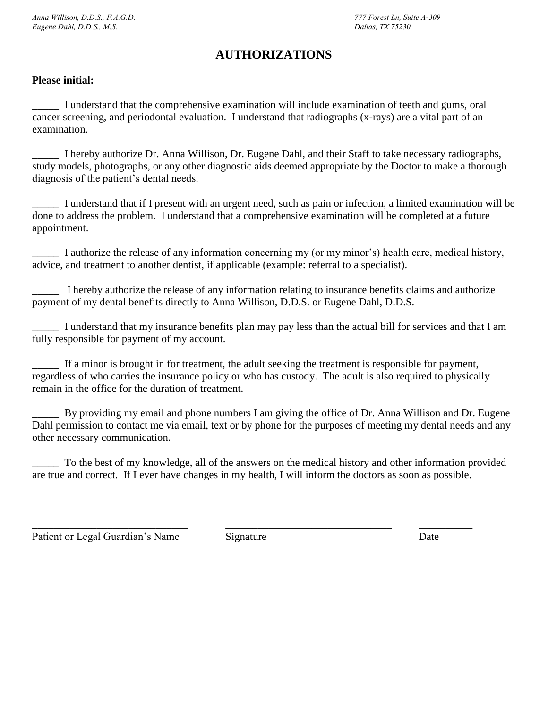# **AUTHORIZATIONS**

# **Please initial:**

\_\_\_\_\_ I understand that the comprehensive examination will include examination of teeth and gums, oral cancer screening, and periodontal evaluation. I understand that radiographs (x-rays) are a vital part of an examination.

I hereby authorize Dr. Anna Willison, Dr. Eugene Dahl, and their Staff to take necessary radiographs, study models, photographs, or any other diagnostic aids deemed appropriate by the Doctor to make a thorough diagnosis of the patient's dental needs.

\_\_\_\_\_ I understand that if I present with an urgent need, such as pain or infection, a limited examination will be done to address the problem. I understand that a comprehensive examination will be completed at a future appointment.

\_\_\_\_\_ I authorize the release of any information concerning my (or my minor's) health care, medical history, advice, and treatment to another dentist, if applicable (example: referral to a specialist).

I hereby authorize the release of any information relating to insurance benefits claims and authorize payment of my dental benefits directly to Anna Willison, D.D.S. or Eugene Dahl, D.D.S.

\_\_\_\_\_ I understand that my insurance benefits plan may pay less than the actual bill for services and that I am fully responsible for payment of my account.

If a minor is brought in for treatment, the adult seeking the treatment is responsible for payment, regardless of who carries the insurance policy or who has custody. The adult is also required to physically remain in the office for the duration of treatment.

\_\_\_\_\_ By providing my email and phone numbers I am giving the office of Dr. Anna Willison and Dr. Eugene Dahl permission to contact me via email, text or by phone for the purposes of meeting my dental needs and any other necessary communication.

To the best of my knowledge, all of the answers on the medical history and other information provided are true and correct. If I ever have changes in my health, I will inform the doctors as soon as possible.

Patient or Legal Guardian's Name Signature Signature Date

\_\_\_\_\_\_\_\_\_\_\_\_\_\_\_\_\_\_\_\_\_\_\_\_\_\_\_\_\_ \_\_\_\_\_\_\_\_\_\_\_\_\_\_\_\_\_\_\_\_\_\_\_\_\_\_\_\_\_\_\_ \_\_\_\_\_\_\_\_\_\_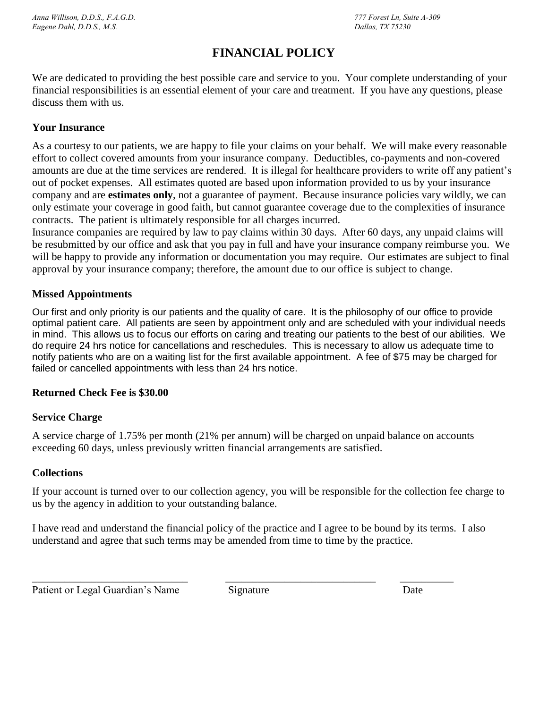# **FINANCIAL POLICY**

We are dedicated to providing the best possible care and service to you. Your complete understanding of your financial responsibilities is an essential element of your care and treatment. If you have any questions, please discuss them with us.

## **Your Insurance**

As a courtesy to our patients, we are happy to file your claims on your behalf. We will make every reasonable effort to collect covered amounts from your insurance company. Deductibles, co-payments and non-covered amounts are due at the time services are rendered. It is illegal for healthcare providers to write off any patient's out of pocket expenses. All estimates quoted are based upon information provided to us by your insurance company and are **estimates only**, not a guarantee of payment. Because insurance policies vary wildly, we can only estimate your coverage in good faith, but cannot guarantee coverage due to the complexities of insurance contracts. The patient is ultimately responsible for all charges incurred.

Insurance companies are required by law to pay claims within 30 days. After 60 days, any unpaid claims will be resubmitted by our office and ask that you pay in full and have your insurance company reimburse you. We will be happy to provide any information or documentation you may require. Our estimates are subject to final approval by your insurance company; therefore, the amount due to our office is subject to change.

## **Missed Appointments**

Our first and only priority is our patients and the quality of care. It is the philosophy of our office to provide optimal patient care. All patients are seen by appointment only and are scheduled with your individual needs in mind. This allows us to focus our efforts on caring and treating our patients to the best of our abilities. We do require 24 hrs notice for cancellations and reschedules. This is necessary to allow us adequate time to notify patients who are on a waiting list for the first available appointment. A fee of \$75 may be charged for failed or cancelled appointments with less than 24 hrs notice.

## **Returned Check Fee is \$30.00**

# **Service Charge**

A service charge of 1.75% per month (21% per annum) will be charged on unpaid balance on accounts exceeding 60 days, unless previously written financial arrangements are satisfied.

## **Collections**

If your account is turned over to our collection agency, you will be responsible for the collection fee charge to us by the agency in addition to your outstanding balance.

I have read and understand the financial policy of the practice and I agree to be bound by its terms. I also understand and agree that such terms may be amended from time to time by the practice.

Patient or Legal Guardian's Name Signature Date

\_\_\_\_\_\_\_\_\_\_\_\_\_\_\_\_\_\_\_\_\_\_\_\_\_\_\_\_\_ \_\_\_\_\_\_\_\_\_\_\_\_\_\_\_\_\_\_\_\_\_\_\_\_\_\_\_\_ \_\_\_\_\_\_\_\_\_\_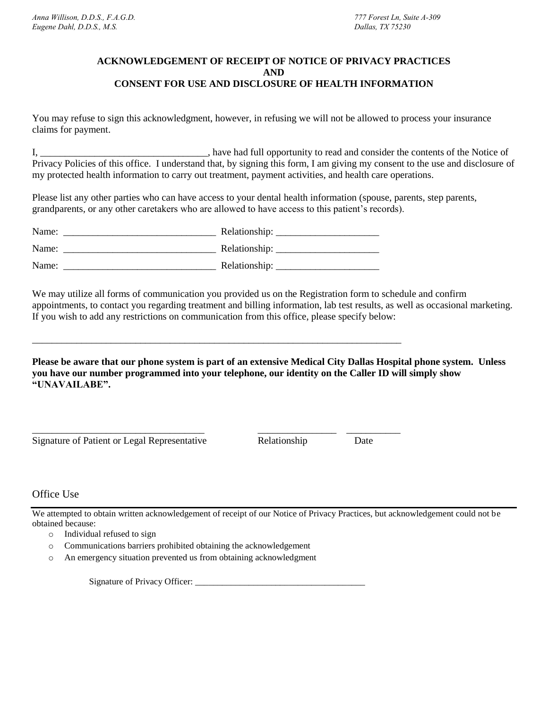### **ACKNOWLEDGEMENT OF RECEIPT OF NOTICE OF PRIVACY PRACTICES AND CONSENT FOR USE AND DISCLOSURE OF HEALTH INFORMATION**

You may refuse to sign this acknowledgment, however, in refusing we will not be allowed to process your insurance claims for payment.

I, \_\_\_\_\_\_\_\_\_\_\_\_\_\_\_\_\_\_\_\_\_\_\_\_\_\_\_\_\_\_\_\_\_\_, have had full opportunity to read and consider the contents of the Notice of Privacy Policies of this office. I understand that, by signing this form, I am giving my consent to the use and disclosure of my protected health information to carry out treatment, payment activities, and health care operations.

Please list any other parties who can have access to your dental health information (spouse, parents, step parents, grandparents, or any other caretakers who are allowed to have access to this patient's records).

| Name: | Relationship: |
|-------|---------------|
| Name: | Relationship: |
| Name: | Relationship: |

\_\_\_\_\_\_\_\_\_\_\_\_\_\_\_\_\_\_\_\_\_\_\_\_\_\_\_\_\_\_\_\_\_\_\_\_\_\_\_\_\_\_\_\_\_\_\_\_\_\_\_\_\_\_\_\_\_\_\_\_\_\_\_\_\_\_\_\_\_\_\_\_\_\_\_

We may utilize all forms of communication you provided us on the Registration form to schedule and confirm appointments, to contact you regarding treatment and billing information, lab test results, as well as occasional marketing. If you wish to add any restrictions on communication from this office, please specify below:

**Please be aware that our phone system is part of an extensive Medical City Dallas Hospital phone system. Unless you have our number programmed into your telephone, our identity on the Caller ID will simply show "UNAVAILABE".** 

Signature of Patient or Legal Representative Relationship Date

\_\_\_\_\_\_\_\_\_\_\_\_\_\_\_\_\_\_\_\_\_\_\_\_\_\_\_\_\_\_\_\_\_\_\_ \_\_\_\_\_\_\_\_\_\_\_\_\_\_\_\_ \_\_\_\_\_\_\_\_\_\_\_

# Office Use

We attempted to obtain written acknowledgement of receipt of our Notice of Privacy Practices, but acknowledgement could not be obtained because:

- o Individual refused to sign
- o Communications barriers prohibited obtaining the acknowledgement
- o An emergency situation prevented us from obtaining acknowledgment

Signature of Privacy Officer: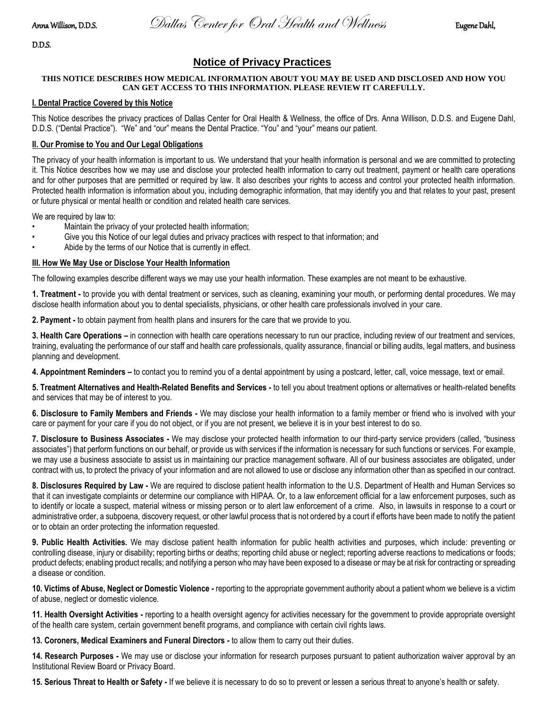Anna Willison, D.D.S.Dallas Center for Oral Health and WellnessEugene Dahl,

D.D.S.

# **Notice of Privacy Practices**

#### **THIS NOTICE DESCRIBES HOW MEDICAL INFORMATION ABOUT YOU MAY BE USED AND DISCLOSED AND HOW YOU CAN GET ACCESS TO THIS INFORMATION. PLEASE REVIEW IT CAREFULLY.**

#### **I. Dental Practice Covered by this Notice**

This Notice describes the privacy practices of Dallas Center for Oral Health & Wellness, the office of Drs. Anna Willison, D.D.S. and Eugene Dahl, D.D.S. ("Dental Practice"). "We" and "our" means the Dental Practice. "You" and "your" means our patient.

#### **II. Our Promise to You and Our Legal Obligations**

The privacy of your health information is important to us. We understand that your health information is personal and we are committed to protecting it. This Notice describes how we may use and disclose your protected health information to carry out treatment, payment or health care operations and for other purposes that are permitted or required by law. It also describes your rights to access and control your protected health information. Protected health information is information about you, including demographic information, that may identify you and that relates to your past, present or future physical or mental health or condition and related health care services.

We are required by law to:

- Maintain the privacy of your protected health information;
- Give you this Notice of our legal duties and privacy practices with respect to that information; and
- Abide by the terms of our Notice that is currently in effect.

#### **III. How We May Use or Disclose Your Health Information**

The following examples describe different ways we may use your health information. These examples are not meant to be exhaustive.

**1. Treatment -** to provide you with dental treatment or services, such as cleaning, examining your mouth, or performing dental procedures. We may disclose health information about you to dental specialists, physicians, or other health care professionals involved in your care.

**2. Payment -** to obtain payment from health plans and insurers for the care that we provide to you.

**3. Health Care Operations –** in connection with health care operations necessary to run our practice, including review of our treatment and services, training, evaluating the performance of our staff and health care professionals, quality assurance, financial or billing audits, legal matters, and business planning and development.

**4. Appointment Reminders –** to contact you to remind you of a dental appointment by using a postcard, letter, call, voice message, text or email.

**5. Treatment Alternatives and Health-Related Benefits and Services -** to tell you about treatment options or alternatives or health-related benefits and services that may be of interest to you.

**6. Disclosure to Family Members and Friends -** We may disclose your health information to a family member or friend who is involved with your care or payment for your care if you do not object, or if you are not present, we believe it is in your best interest to do so.

**7. Disclosure to Business Associates -** We may disclose your protected health information to our third-party service providers (called, "business associates") that perform functions on our behalf, or provide us with services if the information is necessary for such functions or services. For example, we may use a business associate to assist us in maintaining our practice management software. All of our business associates are obligated, under contract with us, to protect the privacy of your information and are not allowed to use or disclose any information other than as specified in our contract.

**8. Disclosures Required by Law -** We are required to disclose patient health information to the U.S. Department of Health and Human Services so that it can investigate complaints or determine our compliance with HIPAA. Or, to a law enforcement official for a law enforcement purposes, such as to identify or locate a suspect, material witness or missing person or to alert law enforcement of a crime. Also, in lawsuits in response to a court or administrative order, a subpoena, discovery request, or other lawful process that is not ordered by a court if efforts have been made to notify the patient or to obtain an order protecting the information requested.

**9. Public Health Activities.** We may disclose patient health information for public health activities and purposes, which include: preventing or controlling disease, injury or disability; reporting births or deaths; reporting child abuse or neglect; reporting adverse reactions to medications or foods; product defects; enabling product recalls; and notifying a person who may have been exposed to a disease or may be at risk for contracting or spreading a disease or condition.

**10. Victims of Abuse, Neglect or Domestic Violence -** reporting to the appropriate government authority about a patient whom we believe is a victim of abuse, neglect or domestic violence.

**11. Health Oversight Activities -** reporting to a health oversight agency for activities necessary for the government to provide appropriate oversight of the health care system, certain government benefit programs, and compliance with certain civil rights laws.

**13. Coroners, Medical Examiners and Funeral Directors -** to allow them to carry out their duties.

**14. Research Purposes -** We may use or disclose your information for research purposes pursuant to patient authorization waiver approval by an Institutional Review Board or Privacy Board.

**15. Serious Threat to Health or Safety -** If we believe it is necessary to do so to prevent or lessen a serious threat to anyone's health or safety.